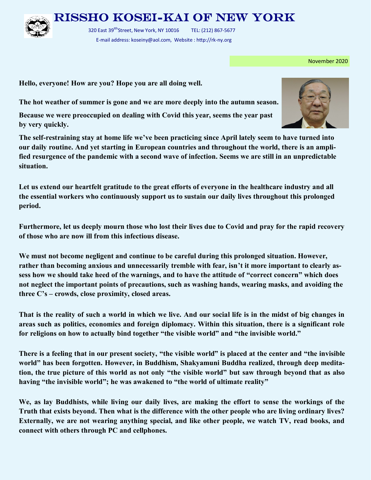

Rissho Kosei-kai of New York

320 East 39<sup>tth</sup>Street, New York, NY 10016 TEL: (212) 867-5677 E-mail address: koseiny@aol.com, Website : http://rk-ny.org

November 2020

**Hello, everyone! How are you? Hope you are all doing well.**

**The hot weather of summer is gone and we are more deeply into the autumn season.**

**Because we were preoccupied on dealing with Covid this year, seems the year past by very quickly.** 

**The self-restraining stay at home life we've been practicing since April lately seem to have turned into our daily routine. And yet starting in European countries and throughout the world, there is an amplified resurgence of the pandemic with a second wave of infection. Seems we are still in an unpredictable situation.**

**Let us extend our heartfelt gratitude to the great efforts of everyone in the healthcare industry and all the essential workers who continuously support us to sustain our daily lives throughout this prolonged period.**

**Furthermore, let us deeply mourn those who lost their lives due to Covid and pray for the rapid recovery of those who are now ill from this infectious disease.** 

**We must not become negligent and continue to be careful during this prolonged situation. However, rather than becoming anxious and unnecessarily tremble with fear, isn't it more important to clearly assess how we should take heed of the warnings, and to have the attitude of "correct concern" which does not neglect the important points of precautions, such as washing hands, wearing masks, and avoiding the three C's – crowds, close proximity, closed areas.**

**That is the reality of such a world in which we live. And our social life is in the midst of big changes in areas such as politics, economics and foreign diplomacy. Within this situation, there is a significant role for religions on how to actually bind together "the visible world" and "the invisible world."**

**There is a feeling that in our present society, "the visible world" is placed at the center and "the invisible world" has been forgotten. However, in Buddhism, Shakyamuni Buddha realized, through deep meditation, the true picture of this world as not only "the visible world" but saw through beyond that as also having "the invisible world"; he was awakened to "the world of ultimate reality"** 

**We, as lay Buddhists, while living our daily lives, are making the effort to sense the workings of the Truth that exists beyond. Then what is the difference with the other people who are living ordinary lives? Externally, we are not wearing anything special, and like other people, we watch TV, read books, and connect with others through PC and cellphones.**